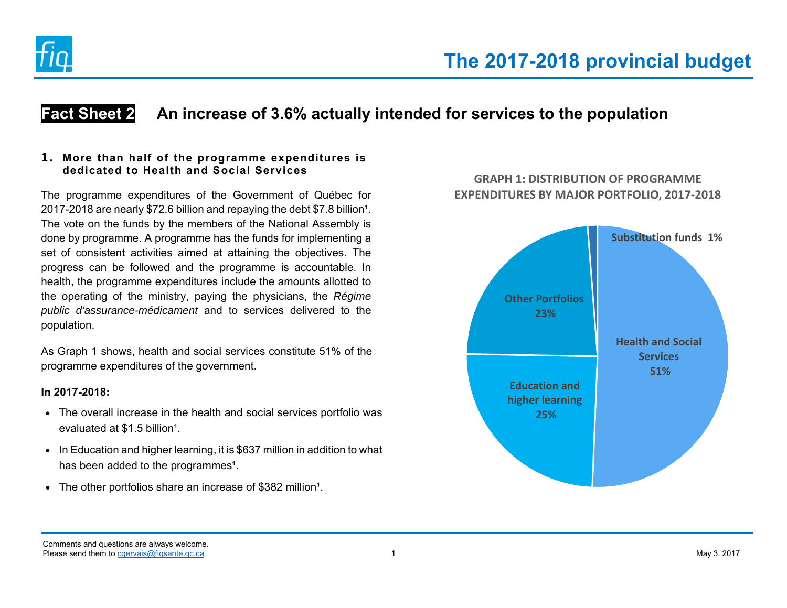

# **Fact Sheet 2 An increase of 3.6% actually intended for services to the population**

### **1. More than half of the programme expenditures is dedicated to Health and Social Services**

The programme expenditures of the Government of Québec for 2017-2018 are nearly \$72.6 billion and repaying the debt \$7.8 billion<sup>1</sup>. The vote on the funds by the members of the National Assembly is done by programme. A programme has the funds for implementing a set of consistent activities aimed at attaining the objectives. The progress can be followed and the programme is accountable. In health, the programme expenditures include the amounts allotted to the operating of the ministry, paying the physicians, the *Régime public d'assurance-médicament* and to services delivered to the population.

As Graph 1 shows, health and social services constitute 51% of the programme expenditures of the government.

### **In 2017-2018:**

- The overall increase in the health and social services portfolio was evaluated at \$1.5 billion<sup>1</sup>.
- In Education and higher learning, it is \$637 million in addition to what has been added to the programmes<sup>1</sup>.
- $\bullet$  The other portfolios share an increase of \$382 million<sup>1</sup>.





Comments and questions are always welcome. Please send them to cgervais@figsante.qc.ca **1** and the may 3, 2017